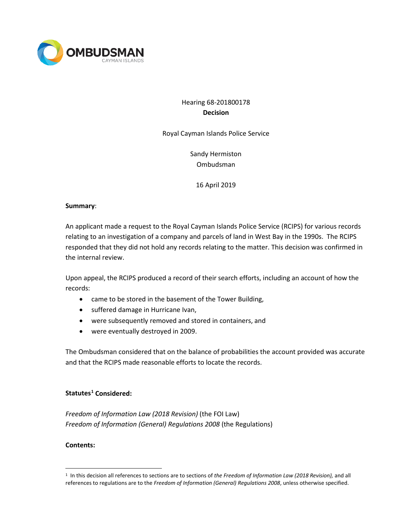

# Hearing 68-201800178 **Decision**

Royal Cayman Islands Police Service

Sandy Hermiston Ombudsman

#### 16 April 2019

#### **Summary**:

An applicant made a request to the Royal Cayman Islands Police Service (RCIPS) for various records relating to an investigation of a company and parcels of land in West Bay in the 1990s. The RCIPS responded that they did not hold any records relating to the matter. This decision was confirmed in the internal review.

Upon appeal, the RCIPS produced a record of their search efforts, including an account of how the records:

- came to be stored in the basement of the Tower Building,
- suffered damage in Hurricane Ivan,
- were subsequently removed and stored in containers, and
- were eventually destroyed in 2009.

The Ombudsman considered that on the balance of probabilities the account provided was accurate and that the RCIPS made reasonable efforts to locate the records.

#### **Statutes[1](#page-0-0) Considered:**

*Freedom of Information Law (2018 Revision)* (the FOI Law) *Freedom of Information (General) Regulations 2008* (the Regulations)

#### **Contents:**

<span id="page-0-0"></span> <sup>1</sup> In this decision all references to sections are to sections of *the Freedom of Information Law (2018 Revision),* and all references to regulations are to the *Freedom of Information (General) Regulations 2008*, unless otherwise specified.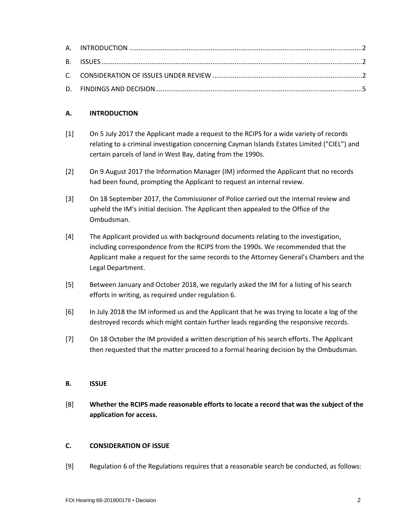## **A. INTRODUCTION**

- [1] On 5 July 2017 the Applicant made a request to the RCIPS for a wide variety of records relating to a criminal investigation concerning Cayman Islands Estates Limited ("CIEL") and certain parcels of land in West Bay, dating from the 1990s.
- [2] On 9 August 2017 the Information Manager (IM) informed the Applicant that no records had been found, prompting the Applicant to request an internal review.
- [3] On 18 September 2017, the Commissioner of Police carried out the internal review and upheld the IM's initial decision. The Applicant then appealed to the Office of the Ombudsman.
- [4] The Applicant provided us with background documents relating to the investigation, including correspondence from the RCIPS from the 1990s. We recommended that the Applicant make a request for the same records to the Attorney General's Chambers and the Legal Department.
- [5] Between January and October 2018, we regularly asked the IM for a listing of his search efforts in writing, as required under regulation 6.
- [6] In July 2018 the IM informed us and the Applicant that he was trying to locate a log of the destroyed records which might contain further leads regarding the responsive records.
- [7] On 18 October the IM provided a written description of his search efforts. The Applicant then requested that the matter proceed to a formal hearing decision by the Ombudsman.

#### **B. ISSUE**

[8] **Whether the RCIPS made reasonable efforts to locate a record that was the subject of the application for access.** 

### **C. CONSIDERATION OF ISSUE**

[9] Regulation 6 of the Regulations requires that a reasonable search be conducted, as follows: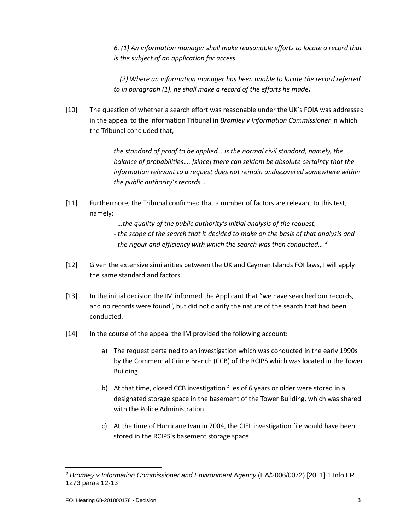*6. (1) An information manager shall make reasonable efforts to locate a record that is the subject of an application for access.*

*(2) Where an information manager has been unable to locate the record referred to in paragraph (1), he shall make a record of the efforts he made.*

[10] The question of whether a search effort was reasonable under the UK's FOIA was addressed in the appeal to the Information Tribunal in *Bromley v Information Commissioner* in which the Tribunal concluded that,

> *the standard of proof to be applied… is the normal civil standard, namely, the balance of probabilities…. [since] there can seldom be absolute certainty that the information relevant to a request does not remain undiscovered somewhere within the public authority's records…*

- [11] Furthermore, the Tribunal confirmed that a number of factors are relevant to this test, namely:
	- *- …the quality of the public authority's initial analysis of the request,*
	- *- the scope of the search that it decided to make on the basis of that analysis and*
	- *- the rigour and efficiency with which the search was then conducted… [2](#page-2-0)*
- [12] Given the extensive similarities between the UK and Cayman Islands FOI laws, I will apply the same standard and factors.
- [13] In the initial decision the IM informed the Applicant that "we have searched our records, and no records were found", but did not clarify the nature of the search that had been conducted.
- [14] In the course of the appeal the IM provided the following account:
	- a) The request pertained to an investigation which was conducted in the early 1990s by the Commercial Crime Branch (CCB) of the RCIPS which was located in the Tower Building.
	- b) At that time, closed CCB investigation files of 6 years or older were stored in a designated storage space in the basement of the Tower Building, which was shared with the Police Administration.
	- c) At the time of Hurricane Ivan in 2004, the CIEL investigation file would have been stored in the RCIPS's basement storage space.

<span id="page-2-0"></span> $\overline{\phantom{a}}$ <sup>2</sup> *Bromley v Information Commissioner and Environment Agency* (EA/2006/0072) [2011] 1 Info LR 1273 paras 12-13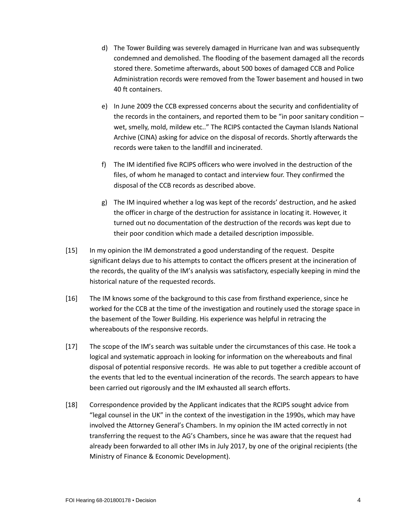- d) The Tower Building was severely damaged in Hurricane Ivan and was subsequently condemned and demolished. The flooding of the basement damaged all the records stored there. Sometime afterwards, about 500 boxes of damaged CCB and Police Administration records were removed from the Tower basement and housed in two 40 ft containers.
- e) In June 2009 the CCB expressed concerns about the security and confidentiality of the records in the containers, and reported them to be "in poor sanitary condition – wet, smelly, mold, mildew etc.." The RCIPS contacted the Cayman Islands National Archive (CINA) asking for advice on the disposal of records. Shortly afterwards the records were taken to the landfill and incinerated.
- f) The IM identified five RCIPS officers who were involved in the destruction of the files, of whom he managed to contact and interview four. They confirmed the disposal of the CCB records as described above.
- g) The IM inquired whether a log was kept of the records' destruction, and he asked the officer in charge of the destruction for assistance in locating it. However, it turned out no documentation of the destruction of the records was kept due to their poor condition which made a detailed description impossible.
- [15] In my opinion the IM demonstrated a good understanding of the request. Despite significant delays due to his attempts to contact the officers present at the incineration of the records, the quality of the IM's analysis was satisfactory, especially keeping in mind the historical nature of the requested records.
- [16] The IM knows some of the background to this case from firsthand experience, since he worked for the CCB at the time of the investigation and routinely used the storage space in the basement of the Tower Building. His experience was helpful in retracing the whereabouts of the responsive records.
- [17] The scope of the IM's search was suitable under the circumstances of this case. He took a logical and systematic approach in looking for information on the whereabouts and final disposal of potential responsive records. He was able to put together a credible account of the events that led to the eventual incineration of the records. The search appears to have been carried out rigorously and the IM exhausted all search efforts.
- [18] Correspondence provided by the Applicant indicates that the RCIPS sought advice from "legal counsel in the UK" in the context of the investigation in the 1990s, which may have involved the Attorney General's Chambers. In my opinion the IM acted correctly in not transferring the request to the AG's Chambers, since he was aware that the request had already been forwarded to all other IMs in July 2017, by one of the original recipients (the Ministry of Finance & Economic Development).